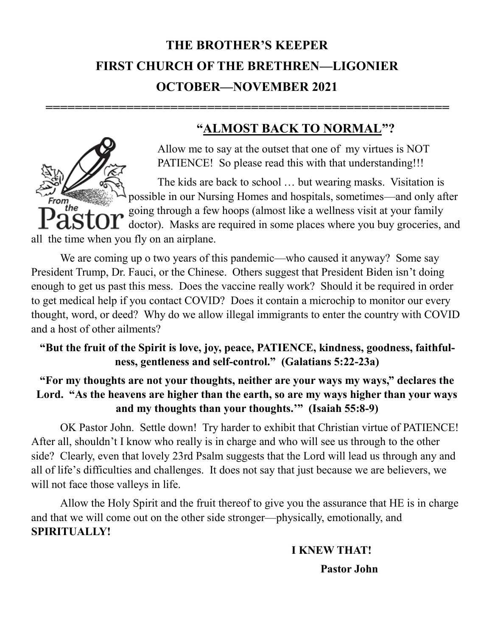# **THE BROTHER'S KEEPER FIRST CHURCH OF THE BRETHREN—LIGONIER OCTOBER—NOVEMBER 2021**

**=======================================================**

#### **"ALMOST BACK TO NORMAL"?**

Allow me to say at the outset that one of my virtues is NOT PATIENCE! So please read this with that understanding!!!

The kids are back to school … but wearing masks. Visitation is possible in our Nursing Homes and hospitals, sometimes—and only after ..<br>the going through a few hoops (almost like a wellness visit at your family doctor). Masks are required in some places where you buy groceries, and all the time when you fly on an airplane.

We are coming up o two years of this pandemic—who caused it anyway? Some say President Trump, Dr. Fauci, or the Chinese. Others suggest that President Biden isn't doing enough to get us past this mess. Does the vaccine really work? Should it be required in order to get medical help if you contact COVID? Does it contain a microchip to monitor our every thought, word, or deed? Why do we allow illegal immigrants to enter the country with COVID and a host of other ailments?

#### **"But the fruit of the Spirit is love, joy, peace, PATIENCE, kindness, goodness, faithfulness, gentleness and self-control." (Galatians 5:22-23a)**

**"For my thoughts are not your thoughts, neither are your ways my ways," declares the Lord. "As the heavens are higher than the earth, so are my ways higher than your ways and my thoughts than your thoughts.'" (Isaiah 55:8-9)**

OK Pastor John. Settle down! Try harder to exhibit that Christian virtue of PATIENCE! After all, shouldn't I know who really is in charge and who will see us through to the other side? Clearly, even that lovely 23rd Psalm suggests that the Lord will lead us through any and all of life's difficulties and challenges. It does not say that just because we are believers, we will not face those valleys in life.

Allow the Holy Spirit and the fruit thereof to give you the assurance that HE is in charge and that we will come out on the other side stronger—physically, emotionally, and **SPIRITUALLY!** 

### **I KNEW THAT!**

**Pastor John**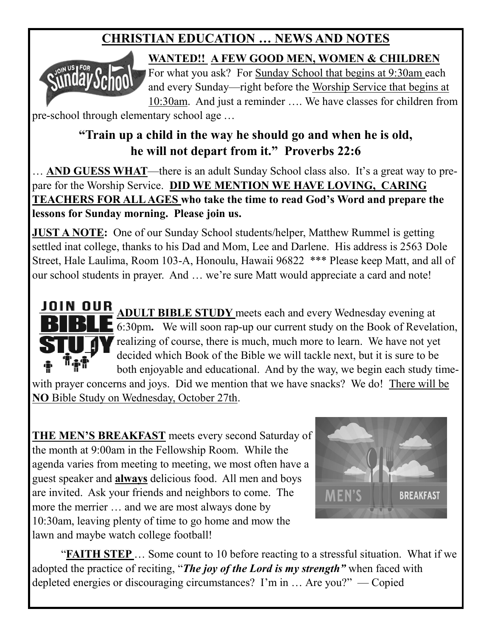## **CHRISTIAN EDUCATION … NEWS AND NOTES**



**WANTED!! A FEW GOOD MEN, WOMEN & CHILDREN** 

For what you ask? For Sunday School that begins at 9:30am each and every Sunday—right before the Worship Service that begins at 10:30am. And just a reminder …. We have classes for children from

pre-school through elementary school age …

## **"Train up a child in the way he should go and when he is old, he will not depart from it." Proverbs 22:6**

… **AND GUESS WHAT**—there is an adult Sunday School class also. It's a great way to prepare for the Worship Service. **DID WE MENTION WE HAVE LOVING, CARING TEACHERS FOR ALL AGES who take the time to read God's Word and prepare the lessons for Sunday morning. Please join us.** 

**JUST A NOTE:** One of our Sunday School students/helper, Matthew Rummel is getting settled inat college, thanks to his Dad and Mom, Lee and Darlene. His address is 2563 Dole Street, Hale Laulima, Room 103-A, Honoulu, Hawaii 96822 \*\*\* Please keep Matt, and all of our school students in prayer. And … we're sure Matt would appreciate a card and note!

**JOIN OUR ADULT BIBLE STUDY** meets each and every Wednesday evening at 6:30pm**.** We will soon rap-up our current study on the Book of Revelation, realizing of course, there is much, much more to learn. We have not yet decided which Book of the Bible we will tackle next, but it is sure to be i'at both enjoyable and educational. And by the way, we begin each study timewith prayer concerns and joys. Did we mention that we have snacks? We do! There will be

**NO** Bible Study on Wednesday, October 27th.

**THE MEN'S BREAKFAST** meets every second Saturday of the month at 9:00am in the Fellowship Room. While the agenda varies from meeting to meeting, we most often have a guest speaker and **always** delicious food. All men and boys are invited. Ask your friends and neighbors to come. The more the merrier … and we are most always done by 10:30am, leaving plenty of time to go home and mow the lawn and maybe watch college football!



"**FAITH STEP** … Some count to 10 before reacting to a stressful situation. What if we adopted the practice of reciting, "*The joy of the Lord is my strength"* when faced with depleted energies or discouraging circumstances? I'm in … Are you?" — Copied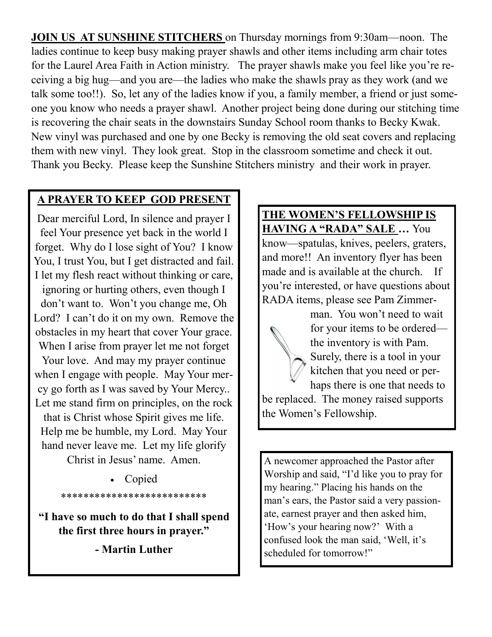**JOIN US AT SUNSHINE STITCHERS** on Thursday mornings from 9:30am—noon. The ladies continue to keep busy making prayer shawls and other items including arm chair totes for the Laurel Area Faith in Action ministry. The prayer shawls make you feel like you're receiving a big hug—and you are—the ladies who make the shawls pray as they work (and we talk some too!!). So, let any of the ladies know if you, a family member, a friend or just someone you know who needs a prayer shawl. Another project being done during our stitching time is recovering the chair seats in the downstairs Sunday School room thanks to Becky Kwak. New vinyl was purchased and one by one Becky is removing the old seat covers and replacing them with new vinyl. They look great. Stop in the classroom sometime and check it out. Thank you Becky. Please keep the Sunshine Stitchers ministry and their work in prayer.

#### **A PRAYER TO KEEP GOD PRESENT**

Dear merciful Lord, In silence and prayer I feel Your presence yet back in the world I forget. Why do I lose sight of You? I know You, I trust You, but I get distracted and fail. I let my flesh react without thinking or care, ignoring or hurting others, even though I don't want to. Won't you change me, Oh Lord? I can't do it on my own. Remove the obstacles in my heart that cover Your grace. When I arise from prayer let me not forget Your love. And may my prayer continue when I engage with people. May Your mercy go forth as I was saved by Your Mercy.. Let me stand firm on principles, on the rock that is Christ whose Spirit gives me life. Help me be humble, my Lord. May Your hand never leave me. Let my life glorify Christ in Jesus' name. Amen.

> • Copied \*\*\*\*\*\*\*\*\*\*\*\*\*\*\*\*\*\*\*\*\*\*\*\*\*\*

**"I have so much to do that I shall spend the first three hours in prayer."** 

**- Martin Luther**

**THE WOMEN'S FELLOWSHIP IS HAVING A "RADA" SALE …** You know—spatulas, knives, peelers, graters, and more!! An inventory flyer has been made and is available at the church. If you're interested, or have questions about RADA items, please see Pam Zimmer-



A newcomer approached the Pastor after Worship and said, "I'd like you to pray for my hearing." Placing his hands on the man's ears, the Pastor said a very passionate, earnest prayer and then asked him, 'How's your hearing now?' With a confused look the man said, 'Well, it's scheduled for tomorrow!"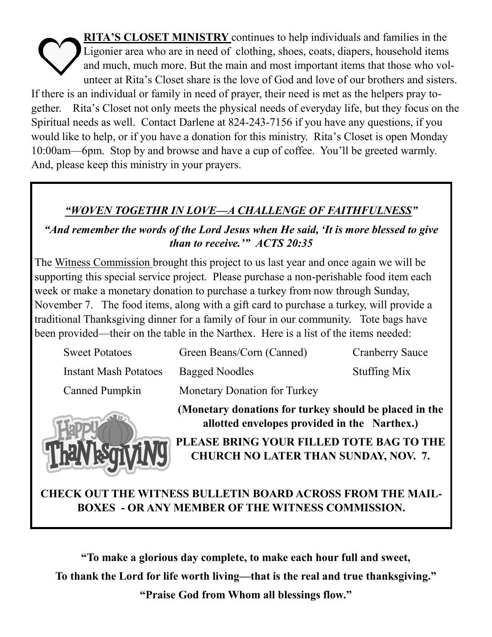**RITA'S CLOSET MINISTRY** continues to help individuals and families in the Ligonier area who are in need of clothing, shoes, coats, diapers, household items and much, much more. But the main and most important items that those who volunteer at Rita's Closet share is the love of God and love of our brothers and sisters. If there is an individual or family in need of prayer, their need is met as the helpers pray together. Rita's Closet not only meets the physical needs of everyday life, but they focus on the Spiritual needs as well. Contact Darlene at 824-243-7156 if you have any questions, if you would like to help, or if you have a donation for this ministry. Rita's Closet is open Monday 10:00am—6pm. Stop by and browse and have a cup of coffee. You'll be greeted warmly. And, please keep this ministry in your prayers.

#### *"WOVEN TOGETHR IN LOVE—A CHALLENGE OF FAITHFULNESS"*

*"And remember the words of the Lord Jesus when He said, 'It is more blessed to give than to receive.'" ACTS 20:35*

The Witness Commission brought this project to us last year and once again we will be supporting this special service project. Please purchase a non-perishable food item each week or make a monetary donation to purchase a turkey from now through Sunday, November 7. The food items, along with a gift card to purchase a turkey, will provide a traditional Thanksgiving dinner for a family of four in our community. Tote bags have been provided—their on the table in the Narthex. Here is a list of the items needed:

| <b>Sweet Potatoes</b>        | Green Beans/Corn (Canned)           | <b>Cranberry Sauce</b> |
|------------------------------|-------------------------------------|------------------------|
| <b>Instant Mash Potatoes</b> | <b>Bagged Noodles</b>               | <b>Stuffing Mix</b>    |
| <b>Canned Pumpkin</b>        | <b>Monetary Donation for Turkey</b> |                        |



**(Monetary donations for turkey should be placed in the allotted envelopes provided in the Narthex.) PLEASE BRING YOUR FILLED TOTE BAG TO THE CHURCH NO LATER THAN SUNDAY, NOV. 7.**

## **CHECK OUT THE WITNESS BULLETIN BOARD ACROSS FROM THE MAIL-BOXES - OR ANY MEMBER OF THE WITNESS COMMISSION.**

**"To make a glorious day complete, to make each hour full and sweet, To thank the Lord for life worth living—that is the real and true thanksgiving." "Praise God from Whom all blessings flow."**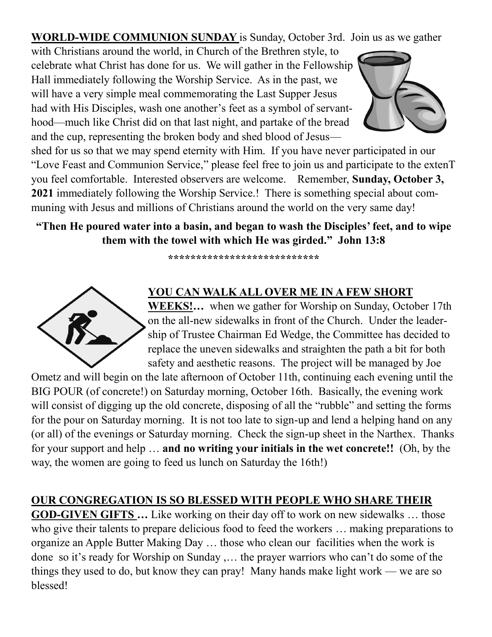**WORLD-WIDE COMMUNION SUNDAY** is Sunday, October 3rd. Join us as we gather

with Christians around the world, in Church of the Brethren style, to celebrate what Christ has done for us. We will gather in the Fellowship Hall immediately following the Worship Service. As in the past, we will have a very simple meal commemorating the Last Supper Jesus had with His Disciples, wash one another's feet as a symbol of servanthood—much like Christ did on that last night, and partake of the bread and the cup, representing the broken body and shed blood of Jesus—



shed for us so that we may spend eternity with Him. If you have never participated in our "Love Feast and Communion Service," please feel free to join us and participate to the extenT you feel comfortable. Interested observers are welcome. Remember, **Sunday, October 3, 2021** immediately following the Worship Service.! There is something special about communing with Jesus and millions of Christians around the world on the very same day!

#### **"Then He poured water into a basin, and began to wash the Disciples' feet, and to wipe them with the towel with which He was girded." John 13:8**

**\*\*\*\*\*\*\*\*\*\*\*\*\*\*\*\*\*\*\*\*\*\*\*\*\*\*\***



#### **YOU CAN WALK ALL OVER ME IN A FEW SHORT**

**WEEKS!…** when we gather for Worship on Sunday, October 17th on the all-new sidewalks in front of the Church. Under the leadership of Trustee Chairman Ed Wedge, the Committee has decided to replace the uneven sidewalks and straighten the path a bit for both safety and aesthetic reasons. The project will be managed by Joe

Ometz and will begin on the late afternoon of October 11th, continuing each evening until the BIG POUR (of concrete!) on Saturday morning, October 16th. Basically, the evening work will consist of digging up the old concrete, disposing of all the "rubble" and setting the forms for the pour on Saturday morning. It is not too late to sign-up and lend a helping hand on any (or all) of the evenings or Saturday morning. Check the sign-up sheet in the Narthex. Thanks for your support and help … **and no writing your initials in the wet concrete!!** (Oh, by the way, the women are going to feed us lunch on Saturday the 16th!)

#### **OUR CONGREGATION IS SO BLESSED WITH PEOPLE WHO SHARE THEIR**

**GOD-GIVEN GIFTS …** Like working on their day off to work on new sidewalks … those who give their talents to prepare delicious food to feed the workers ... making preparations to organize an Apple Butter Making Day … those who clean our facilities when the work is done so it's ready for Worship on Sunday ,… the prayer warriors who can't do some of the things they used to do, but know they can pray! Many hands make light work — we are so blessed!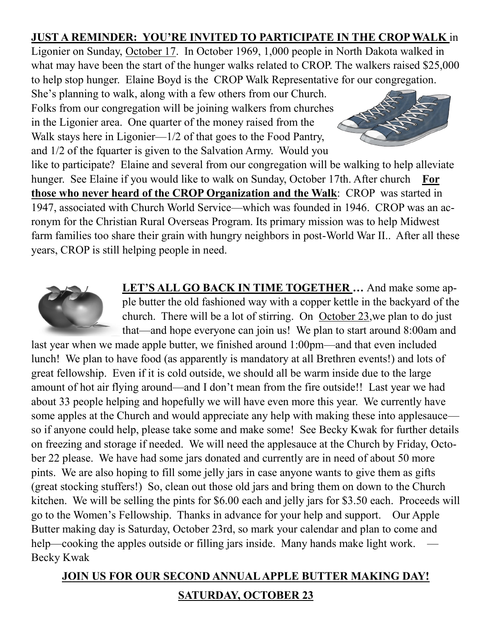### **JUST A REMINDER: YOU'RE INVITED TO PARTICIPATE IN THE CROP WALK** in

Ligonier on Sunday, October 17. In October 1969, 1,000 people in North Dakota walked in what may have been the start of the hunger walks related to CROP. The walkers raised \$25,000 to help stop hunger. Elaine Boyd is the CROP Walk Representative for our congregation.

She's planning to walk, along with a few others from our Church. Folks from our congregation will be joining walkers from churches in the Ligonier area. One quarter of the money raised from the Walk stays here in Ligonier— $1/2$  of that goes to the Food Pantry, and 1/2 of the fquarter is given to the Salvation Army. Would you



like to participate? Elaine and several from our congregation will be walking to help alleviate hunger. See Elaine if you would like to walk on Sunday, October 17th. After church **For those who never heard of the CROP Organization and the Walk**: CROP was started in 1947, associated with Church World Service—which was founded in 1946. CROP was an acronym for the Christian Rural Overseas Program. Its primary mission was to help Midwest farm families too share their grain with hungry neighbors in post-World War II.. After all these years, CROP is still helping people in need.



**LET'S ALL GO BACK IN TIME TOGETHER …** And make some apple butter the old fashioned way with a copper kettle in the backyard of the church. There will be a lot of stirring. On October 23,we plan to do just that—and hope everyone can join us! We plan to start around 8:00am and

last year when we made apple butter, we finished around 1:00pm—and that even included lunch! We plan to have food (as apparently is mandatory at all Brethren events!) and lots of great fellowship. Even if it is cold outside, we should all be warm inside due to the large amount of hot air flying around—and I don't mean from the fire outside!! Last year we had about 33 people helping and hopefully we will have even more this year. We currently have some apples at the Church and would appreciate any help with making these into applesauce so if anyone could help, please take some and make some! See Becky Kwak for further details on freezing and storage if needed. We will need the applesauce at the Church by Friday, October 22 please. We have had some jars donated and currently are in need of about 50 more pints. We are also hoping to fill some jelly jars in case anyone wants to give them as gifts (great stocking stuffers!) So, clean out those old jars and bring them on down to the Church kitchen. We will be selling the pints for \$6.00 each and jelly jars for \$3.50 each. Proceeds will go to the Women's Fellowship. Thanks in advance for your help and support. Our Apple Butter making day is Saturday, October 23rd, so mark your calendar and plan to come and help—cooking the apples outside or filling jars inside. Many hands make light work. Becky Kwak

## **JOIN US FOR OUR SECOND ANNUAL APPLE BUTTER MAKING DAY! SATURDAY, OCTOBER 23**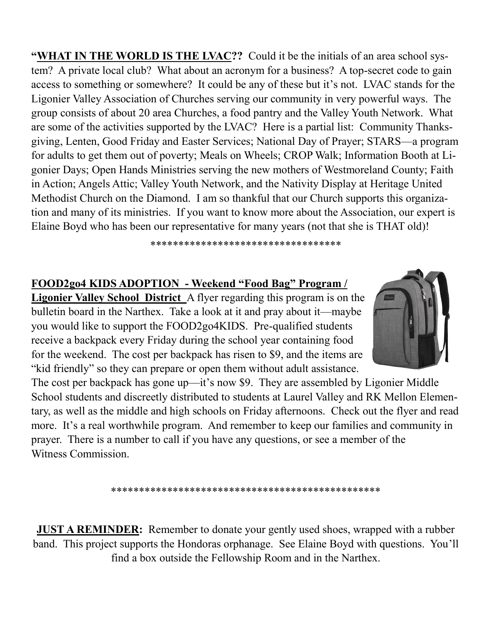**"WHAT IN THE WORLD IS THE LVAC??** Could it be the initials of an area school system? A private local club? What about an acronym for a business? A top-secret code to gain access to something or somewhere? It could be any of these but it's not. LVAC stands for the Ligonier Valley Association of Churches serving our community in very powerful ways. The group consists of about 20 area Churches, a food pantry and the Valley Youth Network. What are some of the activities supported by the LVAC? Here is a partial list: Community Thanksgiving, Lenten, Good Friday and Easter Services; National Day of Prayer; STARS—a program for adults to get them out of poverty; Meals on Wheels; CROP Walk; Information Booth at Ligonier Days; Open Hands Ministries serving the new mothers of Westmoreland County; Faith in Action; Angels Attic; Valley Youth Network, and the Nativity Display at Heritage United Methodist Church on the Diamond. I am so thankful that our Church supports this organization and many of its ministries. If you want to know more about the Association, our expert is Elaine Boyd who has been our representative for many years (not that she is THAT old)!

\*\*\*\*\*\*\*\*\*\*\*\*\*\*\*\*\*\*\*\*\*\*\*\*\*\*\*\*\*\*\*\*\*\*

#### **FOOD2go4 KIDS ADOPTION - Weekend "Food Bag" Program /**

**Ligonier Valley School District** A flyer regarding this program is on the bulletin board in the Narthex. Take a look at it and pray about it—maybe you would like to support the FOOD2go4KIDS. Pre-qualified students receive a backpack every Friday during the school year containing food for the weekend. The cost per backpack has risen to \$9, and the items are "kid friendly" so they can prepare or open them without adult assistance.



The cost per backpack has gone up—it's now \$9. They are assembled by Ligonier Middle School students and discreetly distributed to students at Laurel Valley and RK Mellon Elementary, as well as the middle and high schools on Friday afternoons. Check out the flyer and read more. It's a real worthwhile program. And remember to keep our families and community in prayer. There is a number to call if you have any questions, or see a member of the Witness Commission.

\*\*\*\*\*\*\*\*\*\*\*\*\*\*\*\*\*\*\*\*\*\*\*\*\*\*\*\*\*\*\*\*\*\*\*\*\*\*\*\*\*\*\*\*\*\*\*\*

**JUST A REMINDER:** Remember to donate your gently used shoes, wrapped with a rubber band. This project supports the Hondoras orphanage. See Elaine Boyd with questions. You'll find a box outside the Fellowship Room and in the Narthex.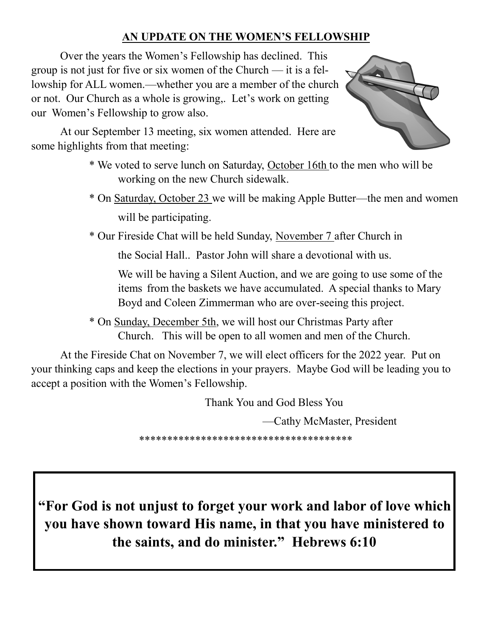#### **AN UPDATE ON THE WOMEN'S FELLOWSHIP**

Over the years the Women's Fellowship has declined. This group is not just for five or six women of the Church — it is a fellowship for ALL women.—whether you are a member of the church or not. Our Church as a whole is growing,. Let's work on getting our Women's Fellowship to grow also.



At our September 13 meeting, six women attended. Here are some highlights from that meeting:

- \* We voted to serve lunch on Saturday, October 16th to the men who will be working on the new Church sidewalk.
- \* On Saturday, October 23 we will be making Apple Butter—the men and women will be participating.

\* Our Fireside Chat will be held Sunday, November 7 after Church in

the Social Hall.. Pastor John will share a devotional with us.

We will be having a Silent Auction, and we are going to use some of the items from the baskets we have accumulated. A special thanks to Mary Boyd and Coleen Zimmerman who are over-seeing this project.

\* On Sunday, December 5th, we will host our Christmas Party after Church. This will be open to all women and men of the Church.

At the Fireside Chat on November 7, we will elect officers for the 2022 year. Put on your thinking caps and keep the elections in your prayers. Maybe God will be leading you to accept a position with the Women's Fellowship.

Thank You and God Bless You

—Cathy McMaster, President

\*\*\*\*\*\*\*\*\*\*\*\*\*\*\*\*\*\*\*\*\*\*\*\*\*\*\*\*\*\*\*\*\*\*\*\*\*\*

**"For God is not unjust to forget your work and labor of love which you have shown toward His name, in that you have ministered to the saints, and do minister." Hebrews 6:10**